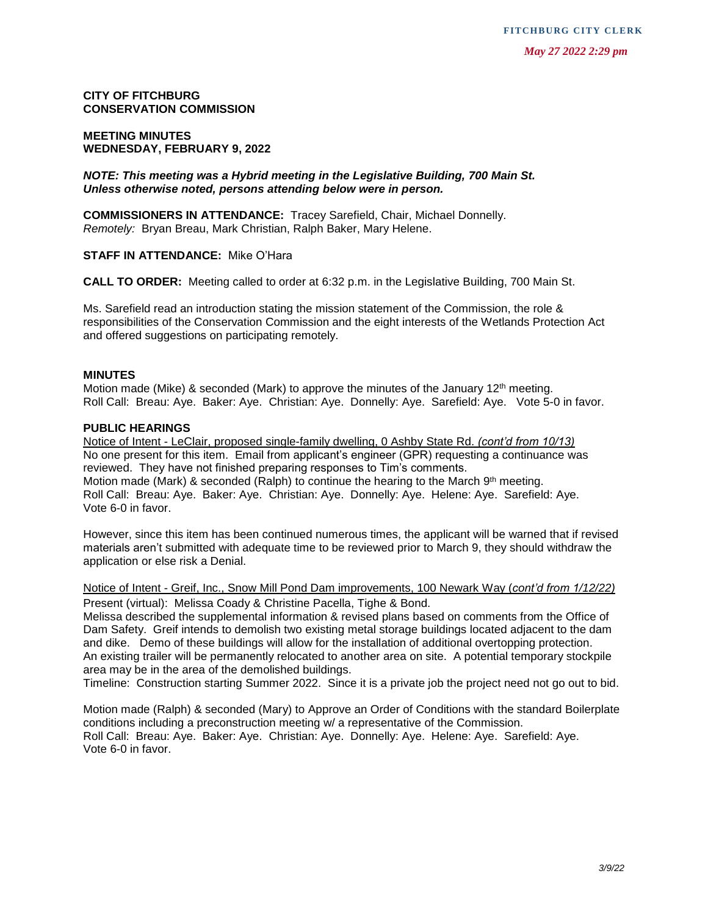**CITY OF FITCHBURG CONSERVATION COMMISSION**

### **MEETING MINUTES WEDNESDAY, FEBRUARY 9, 2022**

*NOTE: This meeting was a Hybrid meeting in the Legislative Building, 700 Main St. Unless otherwise noted, persons attending below were in person.*

**COMMISSIONERS IN ATTENDANCE:** Tracey Sarefield, Chair, Michael Donnelly. *Remotely:* Bryan Breau, Mark Christian, Ralph Baker, Mary Helene.

**STAFF IN ATTENDANCE:** Mike O'Hara

**CALL TO ORDER:** Meeting called to order at 6:32 p.m. in the Legislative Building, 700 Main St.

Ms. Sarefield read an introduction stating the mission statement of the Commission, the role & responsibilities of the Conservation Commission and the eight interests of the Wetlands Protection Act and offered suggestions on participating remotely.

#### **MINUTES**

Motion made (Mike) & seconded (Mark) to approve the minutes of the January  $12<sup>th</sup>$  meeting. Roll Call: Breau: Aye. Baker: Aye. Christian: Aye. Donnelly: Aye. Sarefield: Aye. Vote 5-0 in favor.

#### **PUBLIC HEARINGS**

Notice of Intent - LeClair, proposed single-family dwelling, 0 Ashby State Rd. *(cont'd from 10/13)* No one present for this item. Email from applicant's engineer (GPR) requesting a continuance was reviewed. They have not finished preparing responses to Tim's comments. Motion made (Mark) & seconded (Ralph) to continue the hearing to the March  $9<sup>th</sup>$  meeting. Roll Call: Breau: Aye. Baker: Aye. Christian: Aye. Donnelly: Aye. Helene: Aye. Sarefield: Aye. Vote 6-0 in favor.

However, since this item has been continued numerous times, the applicant will be warned that if revised materials aren't submitted with adequate time to be reviewed prior to March 9, they should withdraw the application or else risk a Denial.

Notice of Intent - Greif, Inc., Snow Mill Pond Dam improvements, 100 Newark Way (*cont'd from 1/12/22)* Present (virtual): Melissa Coady & Christine Pacella, Tighe & Bond.

Melissa described the supplemental information & revised plans based on comments from the Office of Dam Safety. Greif intends to demolish two existing metal storage buildings located adjacent to the dam and dike. Demo of these buildings will allow for the installation of additional overtopping protection. An existing trailer will be permanently relocated to another area on site. A potential temporary stockpile area may be in the area of the demolished buildings.

Timeline: Construction starting Summer 2022. Since it is a private job the project need not go out to bid.

Motion made (Ralph) & seconded (Mary) to Approve an Order of Conditions with the standard Boilerplate conditions including a preconstruction meeting w/ a representative of the Commission. Roll Call: Breau: Aye. Baker: Aye. Christian: Aye. Donnelly: Aye. Helene: Aye. Sarefield: Aye. Vote 6-0 in favor.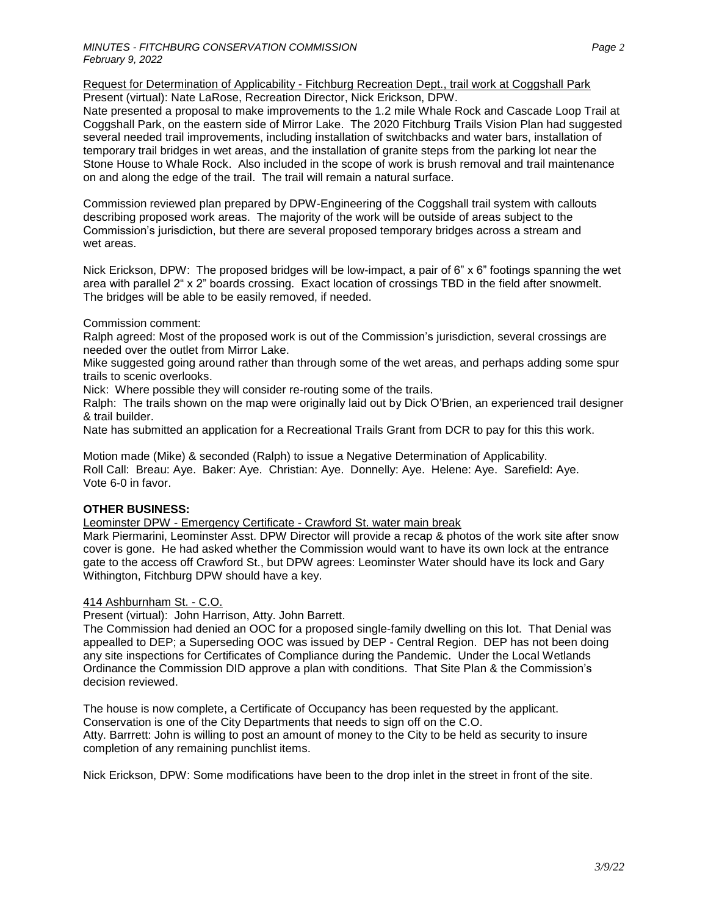Request for Determination of Applicability - Fitchburg Recreation Dept., trail work at Coggshall Park Present (virtual): Nate LaRose, Recreation Director, Nick Erickson, DPW.

Nate presented a proposal to make improvements to the 1.2 mile Whale Rock and Cascade Loop Trail at Coggshall Park, on the eastern side of Mirror Lake. The 2020 Fitchburg Trails Vision Plan had suggested several needed trail improvements, including installation of switchbacks and water bars, installation of temporary trail bridges in wet areas, and the installation of granite steps from the parking lot near the Stone House to Whale Rock. Also included in the scope of work is brush removal and trail maintenance on and along the edge of the trail. The trail will remain a natural surface.

Commission reviewed plan prepared by DPW-Engineering of the Coggshall trail system with callouts describing proposed work areas. The majority of the work will be outside of areas subject to the Commission's jurisdiction, but there are several proposed temporary bridges across a stream and wet areas.

Nick Erickson, DPW: The proposed bridges will be low-impact, a pair of 6" x 6" footings spanning the wet area with parallel 2" x 2" boards crossing. Exact location of crossings TBD in the field after snowmelt. The bridges will be able to be easily removed, if needed.

## Commission comment:

Ralph agreed: Most of the proposed work is out of the Commission's jurisdiction, several crossings are needed over the outlet from Mirror Lake.

Mike suggested going around rather than through some of the wet areas, and perhaps adding some spur trails to scenic overlooks.

Nick: Where possible they will consider re-routing some of the trails.

Ralph: The trails shown on the map were originally laid out by Dick O'Brien, an experienced trail designer & trail builder.

Nate has submitted an application for a Recreational Trails Grant from DCR to pay for this this work.

Motion made (Mike) & seconded (Ralph) to issue a Negative Determination of Applicability. Roll Call: Breau: Aye. Baker: Aye. Christian: Aye. Donnelly: Aye. Helene: Aye. Sarefield: Aye. Vote 6-0 in favor.

# **OTHER BUSINESS:**

Leominster DPW - Emergency Certificate - Crawford St. water main break

Mark Piermarini, Leominster Asst. DPW Director will provide a recap & photos of the work site after snow cover is gone. He had asked whether the Commission would want to have its own lock at the entrance gate to the access off Crawford St., but DPW agrees: Leominster Water should have its lock and Gary Withington, Fitchburg DPW should have a key.

# 414 Ashburnham St. - C.O.

Present (virtual): John Harrison, Atty. John Barrett.

The Commission had denied an OOC for a proposed single-family dwelling on this lot. That Denial was appealled to DEP; a Superseding OOC was issued by DEP - Central Region. DEP has not been doing any site inspections for Certificates of Compliance during the Pandemic. Under the Local Wetlands Ordinance the Commission DID approve a plan with conditions. That Site Plan & the Commission's decision reviewed.

The house is now complete, a Certificate of Occupancy has been requested by the applicant. Conservation is one of the City Departments that needs to sign off on the C.O. Atty. Barrrett: John is willing to post an amount of money to the City to be held as security to insure completion of any remaining punchlist items.

Nick Erickson, DPW: Some modifications have been to the drop inlet in the street in front of the site.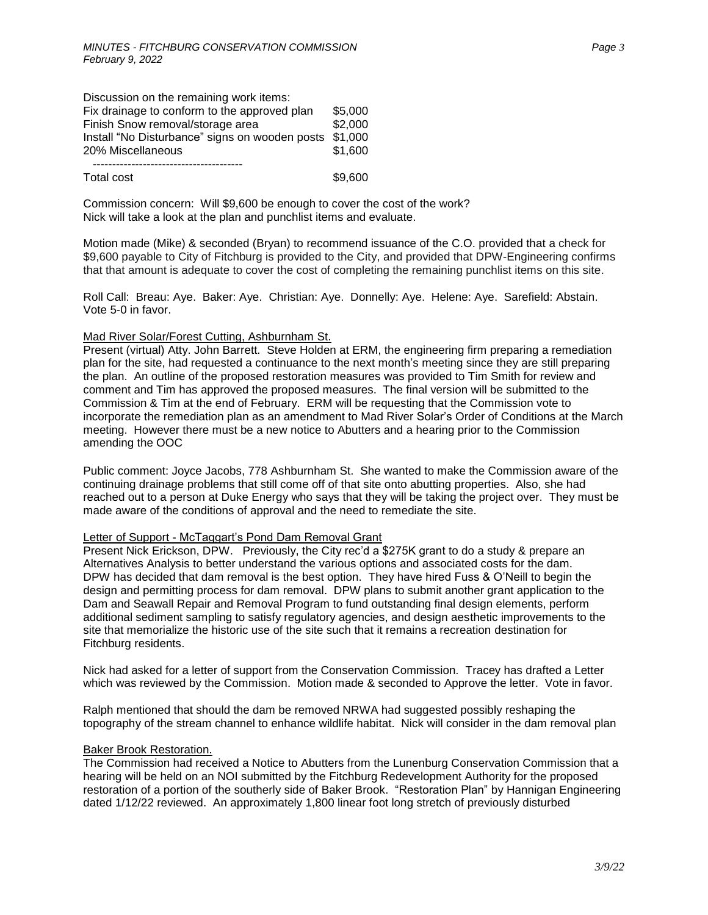| Discussion on the remaining work items:                |         |
|--------------------------------------------------------|---------|
| Fix drainage to conform to the approved plan           | \$5,000 |
| Finish Snow removal/storage area                       | \$2,000 |
| Install "No Disturbance" signs on wooden posts \$1,000 |         |
| 20% Miscellaneous                                      | \$1.600 |
|                                                        |         |

Total cost \$9,600

Commission concern: Will \$9,600 be enough to cover the cost of the work? Nick will take a look at the plan and punchlist items and evaluate.

Motion made (Mike) & seconded (Bryan) to recommend issuance of the C.O. provided that a check for \$9,600 payable to City of Fitchburg is provided to the City, and provided that DPW-Engineering confirms that that amount is adequate to cover the cost of completing the remaining punchlist items on this site.

Roll Call: Breau: Aye. Baker: Aye. Christian: Aye. Donnelly: Aye. Helene: Aye. Sarefield: Abstain. Vote 5-0 in favor.

### Mad River Solar/Forest Cutting, Ashburnham St.

Present (virtual) Atty. John Barrett. Steve Holden at ERM, the engineering firm preparing a remediation plan for the site, had requested a continuance to the next month's meeting since they are still preparing the plan. An outline of the proposed restoration measures was provided to Tim Smith for review and comment and Tim has approved the proposed measures. The final version will be submitted to the Commission & Tim at the end of February. ERM will be requesting that the Commission vote to incorporate the remediation plan as an amendment to Mad River Solar's Order of Conditions at the March meeting. However there must be a new notice to Abutters and a hearing prior to the Commission amending the OOC

Public comment: Joyce Jacobs, 778 Ashburnham St. She wanted to make the Commission aware of the continuing drainage problems that still come off of that site onto abutting properties. Also, she had reached out to a person at Duke Energy who says that they will be taking the project over. They must be made aware of the conditions of approval and the need to remediate the site.

#### Letter of Support - McTaggart's Pond Dam Removal Grant

Present Nick Erickson, DPW. Previously, the City rec'd a \$275K grant to do a study & prepare an Alternatives Analysis to better understand the various options and associated costs for the dam. DPW has decided that dam removal is the best option. They have hired Fuss & O'Neill to begin the design and permitting process for dam removal. DPW plans to submit another grant application to the Dam and Seawall Repair and Removal Program to fund outstanding final design elements, perform additional sediment sampling to satisfy regulatory agencies, and design aesthetic improvements to the site that memorialize the historic use of the site such that it remains a recreation destination for Fitchburg residents.

Nick had asked for a letter of support from the Conservation Commission. Tracey has drafted a Letter which was reviewed by the Commission. Motion made & seconded to Approve the letter. Vote in favor.

Ralph mentioned that should the dam be removed NRWA had suggested possibly reshaping the topography of the stream channel to enhance wildlife habitat. Nick will consider in the dam removal plan

#### Baker Brook Restoration.

The Commission had received a Notice to Abutters from the Lunenburg Conservation Commission that a hearing will be held on an NOI submitted by the Fitchburg Redevelopment Authority for the proposed restoration of a portion of the southerly side of Baker Brook. "Restoration Plan" by Hannigan Engineering dated 1/12/22 reviewed. An approximately 1,800 linear foot long stretch of previously disturbed